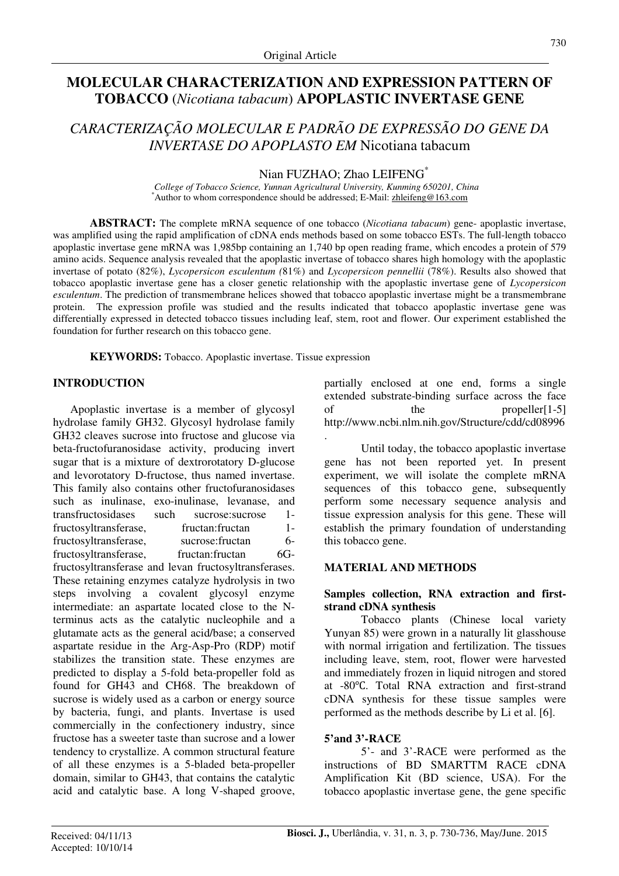# **MOLECULAR CHARACTERIZATION AND EXPRESSION PATTERN OF TOBACCO** (*Nicotiana tabacum*) **APOPLASTIC INVERTASE GENE**

# *CARACTERIZAÇÃO MOLECULAR E PADRÃO DE EXPRESSÃO DO GENE DA INVERTASE DO APOPLASTO EM* Nicotiana tabacum

Nian FUZHAO; Zhao LEIFENG<sup>\*</sup>

*College of Tobacco Science, Yunnan Agricultural University, Kunming 650201, China*  \*Author to whom correspondence should be addressed; E-Mail: zhleifeng@163.com

**ABSTRACT:** The complete mRNA sequence of one tobacco (*Nicotiana tabacum*) gene- apoplastic invertase, was amplified using the rapid amplification of cDNA ends methods based on some tobacco ESTs. The full-length tobacco apoplastic invertase gene mRNA was 1,985bp containing an 1,740 bp open reading frame, which encodes a protein of 579 amino acids. Sequence analysis revealed that the apoplastic invertase of tobacco shares high homology with the apoplastic invertase of potato (82%), *Lycopersicon esculentum (*81%) and *Lycopersicon pennellii* (78%). Results also showed that tobacco apoplastic invertase gene has a closer genetic relationship with the apoplastic invertase gene of *Lycopersicon esculentum*. The prediction of transmembrane helices showed that tobacco apoplastic invertase might be a transmembrane protein. The expression profile was studied and the results indicated that tobacco apoplastic invertase gene was differentially expressed in detected tobacco tissues including leaf, stem, root and flower. Our experiment established the foundation for further research on this tobacco gene.

**KEYWORDS:** Tobacco. Apoplastic invertase. Tissue expression

# **INTRODUCTION**

Apoplastic invertase is a member of glycosyl hydrolase family GH32. Glycosyl hydrolase family GH32 cleaves sucrose into fructose and glucose via beta-fructofuranosidase activity, producing invert sugar that is a mixture of dextrorotatory D-glucose and levorotatory D-fructose, thus named invertase. This family also contains other fructofuranosidases such as inulinase, exo-inulinase, levanase, and transfructosidases such sucrose:sucrose 1 fructosyltransferase, fructan:fructan 1 fructosyltransferase, sucrose:fructan 6 fructosyltransferase, fructan:fructan 6Gfructosyltransferase and levan fructosyltransferases. These retaining enzymes catalyze hydrolysis in two steps involving a covalent glycosyl enzyme intermediate: an aspartate located close to the Nterminus acts as the catalytic nucleophile and a glutamate acts as the general acid/base; a conserved aspartate residue in the Arg-Asp-Pro (RDP) motif stabilizes the transition state. These enzymes are predicted to display a 5-fold beta-propeller fold as found for GH43 and CH68. The breakdown of sucrose is widely used as a carbon or energy source by bacteria, fungi, and plants. Invertase is used commercially in the confectionery industry, since fructose has a sweeter taste than sucrose and a lower tendency to crystallize. A common structural feature of all these enzymes is a 5-bladed beta-propeller domain, similar to GH43, that contains the catalytic acid and catalytic base. A long V-shaped groove, partially enclosed at one end, forms a single extended substrate-binding surface across the face of the propeller[1-5] http://www.ncbi.nlm.nih.gov/Structure/cdd/cd08996 .

Until today, the tobacco apoplastic invertase gene has not been reported yet. In present experiment, we will isolate the complete mRNA sequences of this tobacco gene, subsequently perform some necessary sequence analysis and tissue expression analysis for this gene. These will establish the primary foundation of understanding this tobacco gene.

# **MATERIAL AND METHODS**

## **Samples collection, RNA extraction and firststrand cDNA synthesis**

Tobacco plants (Chinese local variety Yunyan 85) were grown in a naturally lit glasshouse with normal irrigation and fertilization. The tissues including leave, stem, root, flower were harvested and immediately frozen in liquid nitrogen and stored at -80℃. Total RNA extraction and first-strand cDNA synthesis for these tissue samples were performed as the methods describe by Li et al. [6].

# **5'and 3'-RACE**

5'- and 3'-RACE were performed as the instructions of BD SMARTTM RACE cDNA Amplification Kit (BD science, USA). For the tobacco apoplastic invertase gene, the gene specific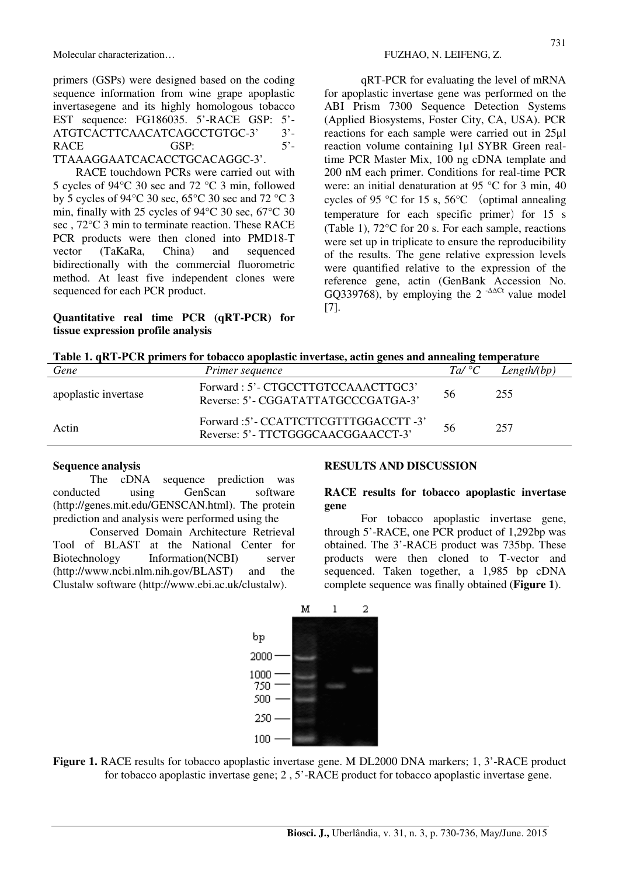Molecular characterization… Solution and the set of the set of the FUZHAO, N. LEIFENG, Z.

primers (GSPs) were designed based on the coding sequence information from wine grape apoplastic invertasegene and its highly homologous tobacco EST sequence: FG186035. 5'-RACE GSP: 5'- ATGTCACTTCAACATCAGCCTGTGC-3' 3'-RACE GSP: 5'-TTAAAGGAATCACACCTGCACAGGC-3'.

RACE touchdown PCRs were carried out with 5 cycles of 94°C 30 sec and 72 °C 3 min, followed by 5 cycles of 94°C 30 sec, 65°C 30 sec and 72 °C 3 min, finally with 25 cycles of 94°C 30 sec, 67°C 30 sec , 72°C 3 min to terminate reaction. These RACE PCR products were then cloned into PMD18-T vector (TaKaRa, China) and sequenced bidirectionally with the commercial fluorometric method. At least five independent clones were sequenced for each PCR product.

## **Quantitative real time PCR (qRT-PCR) for tissue expression profile analysis**

qRT-PCR for evaluating the level of mRNA for apoplastic invertase gene was performed on the ABI Prism 7300 Sequence Detection Systems (Applied Biosystems, Foster City, CA, USA). PCR reactions for each sample were carried out in 25µl reaction volume containing 1µl SYBR Green realtime PCR Master Mix, 100 ng cDNA template and 200 nM each primer. Conditions for real-time PCR were: an initial denaturation at 95 °C for 3 min, 40 cycles of 95 °C for 15 s, 56°C (optimal annealing temperature for each specific primer) for  $15 \text{ s}$ (Table 1), 72°C for 20 s. For each sample, reactions were set up in triplicate to ensure the reproducibility of the results. The gene relative expression levels were quantified relative to the expression of the reference gene, actin (GenBank Accession No. GO339768), by employing the  $2^{-\Delta\Delta Ct}$  value model [7].

|  |  |  |  | Table 1. qRT-PCR primers for tobacco apoplastic invertase, actin genes and annealing temperature |
|--|--|--|--|--------------------------------------------------------------------------------------------------|
|  |  |  |  |                                                                                                  |

| Gene                 | Primer sequence                                                             | $Ta/{}^{\circ}C$ | Length/(bp) |
|----------------------|-----------------------------------------------------------------------------|------------------|-------------|
| apoplastic invertase | Forward: 5'- CTGCCTTGTCCAAACTTGC3'<br>Reverse: 5' - CGGATATTATGCCCGATGA-3'  | 56               | 255         |
| Actin                | Forward :5' - CCATTCTTCGTTTGGACCTT -3'<br>Reverse: 5'-TTCTGGGCAACGGAACCT-3' | 56               | 257         |

#### **Sequence analysis**

The cDNA sequence prediction was conducted using GenScan software (http://genes.mit.edu/GENSCAN.html). The protein prediction and analysis were performed using the

Conserved Domain Architecture Retrieval Tool of BLAST at the National Center for Biotechnology Information(NCBI) server (http://www.ncbi.nlm.nih.gov/BLAST) and the Clustalw software (http://www.ebi.ac.uk/clustalw).

# **RESULTS AND DISCUSSION**

#### **RACE results for tobacco apoplastic invertase gene**

For tobacco apoplastic invertase gene, through 5'-RACE, one PCR product of 1,292bp was obtained. The 3'-RACE product was 735bp. These products were then cloned to T-vector and sequenced. Taken together, a 1,985 bp cDNA complete sequence was finally obtained (**Figure 1**).



**Figure 1.** RACE results for tobacco apoplastic invertase gene. M DL2000 DNA markers; 1, 3'-RACE product for tobacco apoplastic invertase gene; 2 , 5'-RACE product for tobacco apoplastic invertase gene.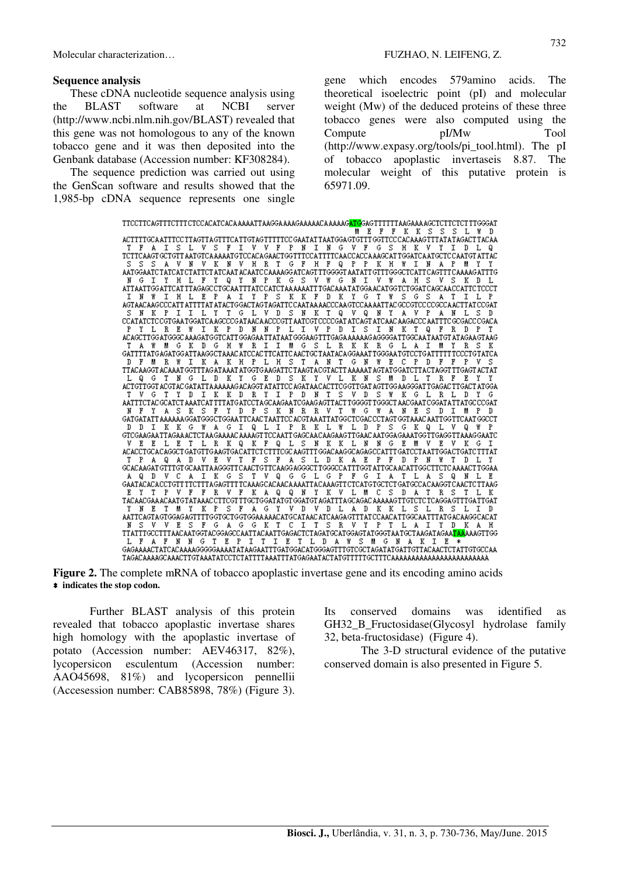#### **Sequence analysis**

These cDNA nucleotide sequence analysis using the BLAST software at NCBI server (http://www.ncbi.nlm.nih.gov/BLAST) revealed that this gene was not homologous to any of the known tobacco gene and it was then deposited into the Genbank database (Accession number: KF308284).

The sequence prediction was carried out using the GenScan software and results showed that the 1,985-bp cDNA sequence represents one single gene which encodes 579amino acids. The theoretical isoelectric point (pI) and molecular weight (Mw) of the deduced proteins of these three tobacco genes were also computed using the Compute pI/Mw Tool (http://www.expasy.org/tools/pi\_tool.html). The pI of tobacco apoplastic invertaseis 8.87. The molecular weight of this putative protein is 65971.09.

| TTCCTTCAGTTTCTTTCTCCACACTCACAAAAATTAAGGAAAAAGAAAAAACAAAAAG <mark>ATG</mark> GAGTTTTTTTAAGAAAAGCTCTTCTCTTTGGGAT<br>E.<br>$\mathbf{F}$<br>F<br>K K<br>s<br>s<br>s<br>I.<br>M.<br>n |
|----------------------------------------------------------------------------------------------------------------------------------------------------------------------------------|
| ACTTTTGCA ATTTCC TTAGTTA GTTTCA TTGTAG TTTTTCC GAATAT TAATGGA GTGTTT GGTTCC CACAAAG TTTATATAGACTTACAA                                                                            |
| s<br>F<br>V F<br>P.<br>N<br>NGV<br>т<br>т<br>s<br>I.<br>T<br>v.<br>T.<br>F<br>s<br>G<br>н<br>к<br>п                                                                              |
| TETTEAAGT GETGTT AATGTEA AAAATGTEEAEAGAAETGGTTTEEATTTEAAEEAEEA AAGEAT TGGATEA ATGETEEAATGT ATTAE                                                                                 |
| н<br>R<br>т<br>F<br>H<br>F<br>P<br>P<br>P<br>Y<br>s<br>s<br>S<br>Ν<br>v<br>К<br>N<br>v<br>G.<br>Q<br>к<br>н<br>Υ<br>т<br>м                                                       |
| AATGGAATC TATCAT CTATTCT ATCAAT ACAATC CAAAAGG ATCAGT TTGGGGT AATATT GTTTGG GCTCATT CAGTTT CAAAAG ATTTG                                                                          |
| Y<br>N<br>- P<br>к<br>s<br>ν.<br>w<br>G<br>N<br>V<br>W<br>Y<br>G.<br>Ι<br>н<br>s<br>S<br>N<br>G<br>Ι<br>F<br>Q<br>К                                                              |
| TTAGAGCCTGCAATTTATCCATCTAAAAAATTTGACAAATATGGAACATGGTCTGGATCAGCAACCATTCTCCCT<br><b>ATTAATTGG ATTCAT</b>                                                                           |
| P<br>s<br>F<br>Y<br>W<br>E<br>P<br>т<br>Y<br>K<br>К<br>D<br>к<br>G<br>S<br>G<br>s<br>P<br>Ν<br>т<br>н<br>A<br>т<br>т<br>Ι<br>т                                                   |
| AGTAACAAGCCCATTATTTTATATACTGGACTAGTAGATTCCAATAAAACCCAAGTCCAAAATTACGCCGTCCCCCCAACTTATCCGAT                                                                                        |
| s<br>s<br>Y<br>ν<br>D<br>N<br>К<br>0<br>ν<br>0<br>N<br>Y<br>v<br>P<br>т<br>G<br>L<br>т<br>А<br>D                                                                                 |
| CCATATCTCCGTGAATGGATCAAGCCCGATAACAACCCGTTAATCGTCCCCGATATCAGTATCAACAAGACCCAATTTCGCGACCCGACA                                                                                       |
| P<br>s<br>R<br>W<br>P<br>N<br>N<br>I.<br>т<br>v.<br>P<br>Ð<br>T.<br>т<br>N<br>К<br>F<br>P<br>P.<br>Y<br>E<br>т<br>К<br>n<br>т<br>Q<br>R<br>D.<br>т<br>Ι.                         |
| ACAGCTTGGATGGGCAAAGATGGTCATTGGAGAATTATAATGGGAAGTTTGAGAAAAAAGAGGGGATTGGCAATAATGTATAGAAGTAAG                                                                                       |
| G<br>W<br>М<br>G.<br>s<br>$\mathbf{I}$ .<br>R<br>К<br>к<br>R<br>G<br>т<br>М<br>G<br>к<br>n<br>н<br>R<br>I<br>T.<br>L<br>A<br>к<br>т<br>R                                         |
| <b>TCCCTGTATCA</b>                                                                                                                                                               |
| s<br>E<br>s<br>F<br>т<br>к<br>к<br>н<br>P<br>L H<br>т<br>N<br>т<br>G<br>N<br>w<br>C<br>P<br>F<br>F<br>P<br>n<br>м<br>R<br>W.<br>A<br>A.<br>n                                     |
| TTACAAGGT ACAAAT GGTTTAG ATAAAT ATGGTG AAGATTC TAAGTACGT ACTT AAAAAT AGTATG GATCTTACTAGGT TTGAGT ACTAT                                                                           |
| s<br>к<br>s<br>G<br>n<br>к<br>Υ<br>G<br>Е<br>n<br>к<br>Y<br>v<br>Т.<br>N<br>М<br>Т.<br>n<br>R                                                                                    |
| ACTGTTGGT ACGTAC GATATTA AAAAAG ACAGGT ATATTCC AGATAA CACTTCG GTTGAT AGTTGG AAGGGATTGAGACTTGACT ATGGA                                                                            |
| v.<br>к<br>R<br>Y.<br>I<br>P.<br>D<br>N<br>Т<br>s<br>v.<br>D<br>s<br>ж<br>K<br>G<br>т<br>G<br>т<br>Y<br>n<br>т<br>К<br>D<br>G<br>R<br>I.<br>D<br>Y                               |
| AATTTCTACGCATCTAAATCATTTTATGATCCTAGCAAGAATCGAAGAGTTACTTGGGGTTGGGCTAACGAATCGGATATTATGCCCGAT                                                                                       |
| s<br>N<br>R<br>W.<br>w<br>Е<br>К<br>s<br>F<br>Y<br>D<br>P<br>к<br>R<br>v.<br>т<br>G<br>A<br>N<br>s<br>N<br>Y<br>A<br>s<br>n<br>т<br>M<br>P<br>D                                  |
| GATGATATT AAAAAAGGATGGGCTGGAATTCAACTAATTCCACGTAAATTATGGCTCGACCCTAGTGGTAAACAATTGGTTCAATGGCCT                                                                                      |
| 9 L I<br>P.<br>R<br>- W<br>D<br>P.<br>s<br>к<br>К<br>G<br>W<br>G<br>$\mathbf{I}$<br>K L<br>L<br>G.<br>к<br>o<br>P<br>n.<br>n<br>Τ.<br>A<br>I.<br>v<br>o<br>w                     |
| GTCGAAGAATTAGAA ACTCTAA GAAAAC AAAAGTTCCAATT GAGCAACAAGAAGTTGAAC AATGGA GAAATGGTTGAGGTTAAAG GAATC                                                                                |
| S<br>R<br>0<br>К<br>F<br>0<br>N<br>к<br>к<br>L<br>N<br>N<br>G<br>E<br>E.<br>E<br>E<br>К<br>L<br>E<br>К<br>Ι                                                                      |
| ACACCTGCACAGGCTGATGTTGAAGTGACATTCTCTTTCGCAAGTTTGGACAAGGCAGAGCCATTTGATCCTAATTGGACTGATCTTTAT                                                                                       |
| s<br>F<br>s<br>n.<br>к<br>E<br>P<br>F<br>Y<br>т<br>P<br>0<br>A<br>D<br>v.<br>E.<br>v<br>т<br>F<br>A<br>Т.<br>A<br>n.<br>P<br>W.<br>т<br>n.<br>I.<br>A<br>N                       |
| GEAEAAGAT GTTTGT GEAATTA AGGGTT EAACTGTTEAAGG AGGGET TGGGEEATTTGGT ATTGEA AEATTGGETTETE AAAACT TGGAA                                                                             |
| s<br>0<br>G G<br>G.<br>$\mathbb{P}$<br>F<br>s<br>v<br>C<br>A<br>Ι<br>К<br>G<br>т<br>v.<br>L<br>G<br>I<br>A<br>L<br>Q<br>Е<br>o<br>n<br>т<br>A<br>Ν<br>Т.<br>A                    |
| GAAT AC ACACCTGTT TTCTTTA GAGTTT TCAAAGCACAACA AAATTA CAAAGTT CTCATGTGCTCT GATGCCACAAGGT CAACTC TTAAG                                                                            |
| N<br>Y.<br>K V<br>s<br>F<br>к<br>AO<br>9.<br>L.<br>- M<br>c.<br>R<br>s<br>к<br>E.<br>т<br>P<br>F<br>F<br>R<br>v.<br>n<br>А                                                       |
|                                                                                                                                                                                  |
| Y<br>Υ<br>к<br>P<br>S<br>F<br>G<br>v<br>n<br>v<br>D.<br>L<br>A<br>n<br>к<br>к<br>R<br>n<br>N<br>E<br>A<br>Ι                                                                      |
| AATTE AGT AGT GGAG AGT TTTG GTGETG GTGGAA AAAE ATG EAT AAE ATE AAGA GTTTAT EE AAE ATTGGE AATTTATG AE AAGGE AEAT                                                                  |
| G<br>к<br>т<br>c<br>I<br>т<br>s<br>R<br>Y<br>P<br>н<br>N<br>s<br>v<br>v<br>s<br>F<br>G<br>A<br>G<br>v<br>т<br>Y<br>Ð<br>к                                                        |
|                                                                                                                                                                                  |
| TTATTTGCCTTTAACAATGGTACGGAGCCAATTACAATTGAGACTCTAGATGCATGGAGTATGGGTAATGCTAAGATAGAA <mark>TAA</mark> AAAGTTGG                                                                      |
| Е<br>- P<br>т<br>I E<br>т<br>L D<br>ж<br>s<br>Е<br>L F<br>A.<br>F<br>N<br>NG<br>т<br>I.<br>A.<br>M.<br>G<br>N<br>A<br>К<br>I<br>- *                                              |
| GAGAAAACTATCACAAAAGGGGGAAAATATAAGAATTTGATGGACATGGGAGTTTGTCGCTAGATATGATTGTTACAACTCTATTGTGCCAA                                                                                     |
|                                                                                                                                                                                  |

**Figure 2.** The complete mRNA of tobacco apoplastic invertase gene and its encoding amino acids ﹡**indicates the stop codon.** 

Further BLAST analysis of this protein revealed that tobacco apoplastic invertase shares high homology with the apoplastic invertase of potato (Accession number: AEV46317, 82%), lycopersicon esculentum (Accession number: AAO45698, 81%) and lycopersicon pennellii (Accesession number: CAB85898, 78%) (Figure 3). Its conserved domains was identified as GH32 B Fructosidase(Glycosyl hydrolase family 32, beta-fructosidase) (Figure 4).

The 3-D structural evidence of the putative conserved domain is also presented in Figure 5.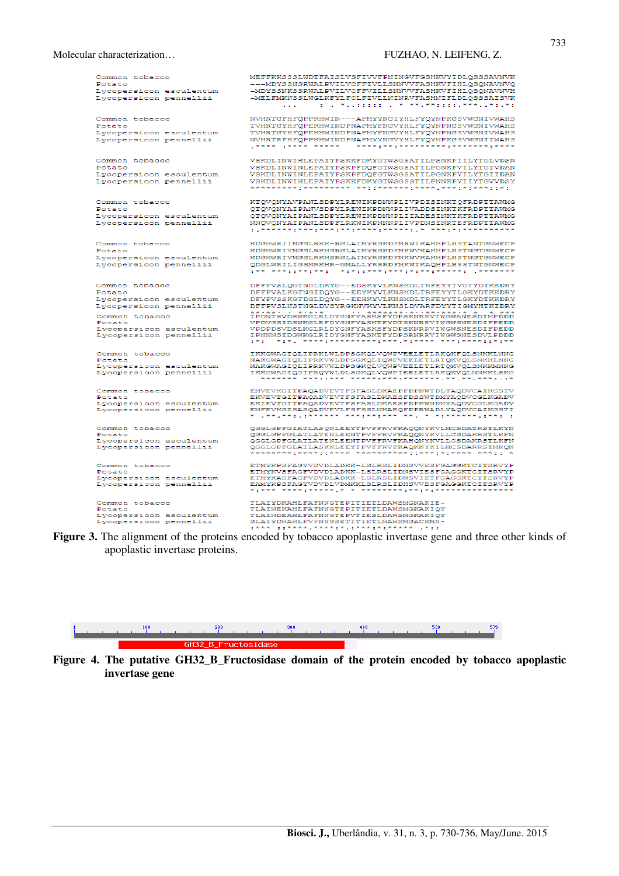| Common tobacco          | MEFFKKSSSLWDTFAISLVSFIVVFPNINGVFGSHKVYIDLQSSSAVNVK                                              |
|-------------------------|-------------------------------------------------------------------------------------------------|
| Potato                  | ---MDYSSNSRWALPVILVCFFIVLLSNNVVFASHKVFIHLQSQNAVNVQ                                              |
| Lycopersicon esculentum | -MDYSSNKSSRWALPVILVCFFVILLSNNVVFASHKVFIHLQSQNAVNVH                                              |
|                         | -MELFMKNSSLWGLKFYLFCLFIVLLNINRVFASHNIFLDLQSSSAISVK                                              |
| Lycopersicon pennellii  |                                                                                                 |
|                         | i di luo muudododododom mmummad mmedametrismo est.                                              |
|                         |                                                                                                 |
| Common tobacco          | NVHRTGFHFQPPKHWIN---APMYYNGIYHLFYQYNPKGSVWGNIVWAHS                                              |
| Potato                  | TVHRTGYHFQPEKHWINDPNAPMYFNGVYHLFYQYNPNGSVWGNIVWAHS                                              |
| Lycopersicon esculentum | TVHRTGYHFQPEKHWINDPNAPMYFNGVYHLFYQYNPNGSVWGNIVWAHS                                              |
| Lycopersicon pennellii  | NVHRTRFHFQPPKHWINDPNAPMYYNGVYHLFYQYNPKGSVWGNIIWAHS                                              |
|                         |                                                                                                 |
|                         |                                                                                                 |
| Common tobacco          | VSKDLINWIHLEPAIYPSKKFDKYGTWSGSATILPSNKPIILYTGLVDSN                                              |
| Potato                  | VSKDLINWINLEPAIYPSKPFDQFGTWSGSATILPGNKPVILYTGIVDAN                                              |
| Lycopersicon esculentum | VSKDLINWINLEPAIYPSKPFDQFGTWSGSATILPGNKPVILYTGIIDAN                                              |
|                         | VSKDLINWIHLEPAIYPSKKFDKYGTWSGSSTILPNNKPVIIYTGVVDSY                                              |
| Lycopersicon pennellii  |                                                                                                 |
|                         |                                                                                                 |
| Common tobacco          | KTQVQNYAVPANLSDPYLREWIKPDNNPLIVPDISINKTQFRDPTTAWMG                                              |
|                         |                                                                                                 |
| Potato                  | OTOVONYAIPANVSDPYLREWIKPDNNPLIVADDSINKTKFRDPTTAWMG                                              |
| Lycopersicon esculentum | QTQVQNYAIPANLSDPYLREWIKPDNNPLIIADESINKTKFRDPTTAWMG                                              |
| Lycopersicon pennellii  | NNQVQNYAIPANLSDPFLRKWIKPNNNPLIVPDNSINRTEFRDPTTAWMG                                              |
|                         |                                                                                                 |
|                         |                                                                                                 |
| Common tobacco          | KDGHWRIIMGSLRKK-RGLAIMYRSKDFMRWIKAKHPLHSTANTGNWECP                                              |
| Potato                  | KDGHWRIVMGSLRKHSRGLAIMYRSKDFMKWVKAKHPLHSTNGTGNWECP                                              |
| Lycopersicon esculentum | KDGHWRIVMGSLRKHSRGLAIMYRSKDFMKWVKAKHPLHSTNGTGNWECP                                              |
| Lycopersicon pennellii  | QDGLWRILIGSMRKHR-GMALLYRSRDFMKWIKAQHPLHSSTNTGNWECP                                              |
|                         | taa aadtimatada aat tidatimadadada taatadadada aadadada                                         |
|                         |                                                                                                 |
| Common tobacco          | DFFPVSLQGTNGLDKYG--EDSKYVLKNSMDLTRFEYYTVGTYDIKKDRY                                              |
| Potato                  | DFFPVALKGTNGIDQYG--EEYKYVLKNSMDLTRFEYYTLGKYDTKKDRY                                              |
|                         | DFYPVSSKGTDGLDQYG--EEHKYVLKNSMDLTRFEYYTLGKYDTKKDRY                                              |
| Lycopersicon esculentum |                                                                                                 |
| Lycopersicon pennellii  | DFFPVSLNSTNGLDVSYRGKNVKYVLKNSLDVARFDYYTIGMYHTKIDRY                                              |
| Common tobacco          | **:**: *:*:*  *******:*:******** *. * ***<br>IPDNTSVDSWKGLRLDYGNFYASKSFYDPSKNRRVTWGWANESDIMPDDD |
| Potato                  | VPDVGSIDSWKGLRFDYGNFYASKTFYDTSKNRRVIWGWSNESDIFPEDD                                              |
| Lycopersicon esculentum | VPDPDSVDSLKGLRLDYGNFYASKSFYDPSKNRRVIWGWSNESDIFPEDD                                              |
| Lycopersicon pennellii  | IPNNNSIDGWKGLRIDYGNFYASKTFYDPSRNRRVIWGWSNESDVLPDDD                                              |
|                         |                                                                                                 |
|                         |                                                                                                 |
| Common tobacco          | IKKGWAGIQLIPRKLWLDPSGKQLVQWPVEELETLRKQKFQLSNKKLNNG                                              |
| Potato                  | NAKGWAGIQLIPRKVWLDPSGKQLIQWPVEELETLRTQKVQLSNKKLNNG                                              |
| Lycopersicon esculentum | NAKGWAGIQLIPRKVWLDPSGKQLVQWPVEELETLRTQKVQLSNKKMNNG                                              |
| Lycopersicon pennellii  | IKKGWAGIQGIPRQVWLDLSGKQLVQWPIEELETLRKQKVQLNNKKLSKG                                              |
|                         |                                                                                                 |
| Common tobacco          | EMVEVKGITPAQADVEVTFSFASLDKAEPFDPNWTDLYAQDVCAIKGSTV                                              |
| Potato                  | EKVEVTGITPAQADVEVTFSFASLDKAESFDSSWTDMYAQDVCGLKGADV                                              |
| Lycopersicon esculentum | EKIEVTGITPAQADVEVTFSFASLDKAESFDPKWNDMYAQDVCGLKGADV                                              |
| Lycopersicon pennellii  | EMFEVKGISASQADVEVLFSFSSLNKAEQFDPRWADLYAQDVCAIKGSTI                                              |
|                         |                                                                                                 |
|                         |                                                                                                 |
| Common tobacco          | QGGLGPFGIATLASQNLEEYTPVFFRVFKAQQNYKVLMCSDATRSTLKYN                                              |
| Potato                  | QGGLGPFGLATLATENLEENTPVFFRVFKAQQNYKVLLCSDAKRSTLKFN                                              |
| Lycopersicon esculentum | QGGLGPFGLATLATENLEENTPVFFRVFKAHQNYKVLLCSDAKRSTLKFN                                              |
| Lycopersicon pennellii  | QGGLGPFGLATLASKNLEEYTPVFFRVFKAQKNYKILMCSDARRSTMRQN                                              |
|                         | *********;****;;***** *********;;***;*;*;*;*** ***;;                                            |
| Common tobacco          | ETMYKPSFAGYVDVDLADKK-LSLRSLIDNSVVESFGAGGKTCITSRVYP                                              |
| Potato                  | ETMYKVSFAGFVDVDLADKK-LSLRSLIDNSVIESFGAGGKTCITSRVYP                                              |
| Lycopersicon esculentum | ETMYKASFAGFVDVDLADKK-LSLRSLIDNSVIETFGAGGKTCITSRVYP                                              |
| Lycopersicon pennellii  | EAMYKPSFAGYVDVDLVDMKKLSLRSLIDHSVVESFGAGGKTCITSRVYP                                              |
|                         |                                                                                                 |
|                         |                                                                                                 |
| Common tobacco          | TLAIYDKAHLFAFNNGTEPITIETLDAWSMGNAKIE-                                                           |
| Potato                  | TLAINEKAHLFAFNNGTEPITIETLDAWSMGKAKIOY                                                           |
| Lycopersicon esculentum | TLAINDEAHLFAFNNGTEPVTIESLDAWSMGKAKIQY                                                           |
| Lycopersicon pennellii  | SLAIYDNAHLFVFNNGSETITIETLNAWSMGACKMN-                                                           |

**Figure 3.** The alignment of the proteins encoded by tobacco apoplastic invertase gene and three other kinds of apoplastic invertase proteins.



**Figure 4. The putative GH32\_B\_Fructosidase domain of the protein encoded by tobacco apoplastic invertase gene**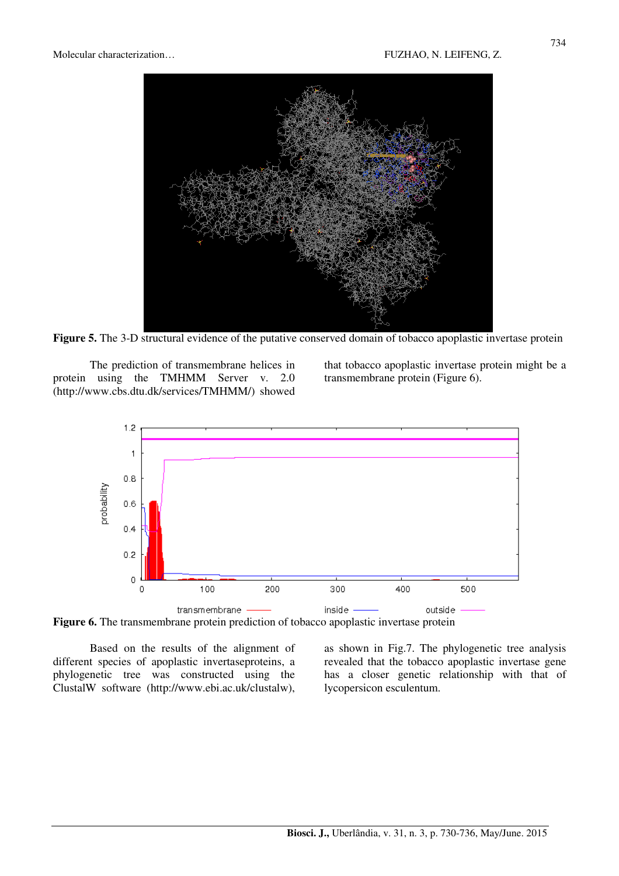

**Figure 5.** The 3-D structural evidence of the putative conserved domain of tobacco apoplastic invertase protein

The prediction of transmembrane helices in protein using the TMHMM Server v. 2.0 (http://www.cbs.dtu.dk/services/TMHMM/) showed

that tobacco apoplastic invertase protein might be a transmembrane protein (Figure 6).



Figure 6. The transmembrane protein prediction of tobacco apoplastic invertase protein

Based on the results of the alignment of different species of apoplastic invertaseproteins, a phylogenetic tree was constructed using the ClustalW software (http://www.ebi.ac.uk/clustalw), as shown in Fig.7. The phylogenetic tree analysis revealed that the tobacco apoplastic invertase gene has a closer genetic relationship with that of lycopersicon esculentum.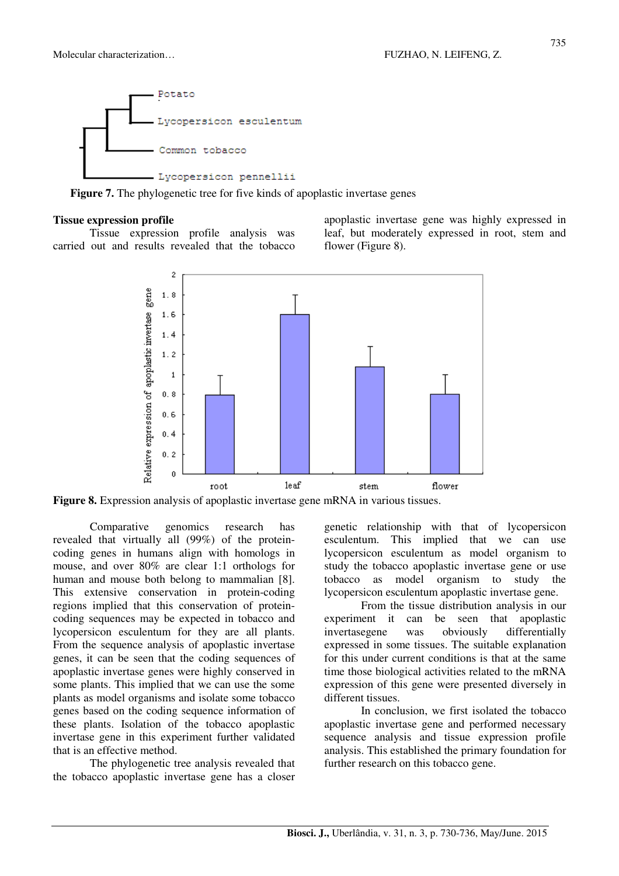

**Figure 7.** The phylogenetic tree for five kinds of apoplastic invertase genes

## **Tissue expression profile**

Tissue expression profile analysis was carried out and results revealed that the tobacco apoplastic invertase gene was highly expressed in leaf, but moderately expressed in root, stem and flower (Figure 8).



**Figure 8.** Expression analysis of apoplastic invertase gene mRNA in various tissues.

Comparative genomics research has revealed that virtually all (99%) of the proteincoding genes in humans align with homologs in mouse, and over 80% are clear 1:1 orthologs for human and mouse both belong to mammalian [8]. This extensive conservation in protein-coding regions implied that this conservation of proteincoding sequences may be expected in tobacco and lycopersicon esculentum for they are all plants. From the sequence analysis of apoplastic invertase genes, it can be seen that the coding sequences of apoplastic invertase genes were highly conserved in some plants. This implied that we can use the some plants as model organisms and isolate some tobacco genes based on the coding sequence information of these plants. Isolation of the tobacco apoplastic invertase gene in this experiment further validated that is an effective method.

The phylogenetic tree analysis revealed that the tobacco apoplastic invertase gene has a closer genetic relationship with that of lycopersicon esculentum. This implied that we can use lycopersicon esculentum as model organism to study the tobacco apoplastic invertase gene or use tobacco as model organism to study the lycopersicon esculentum apoplastic invertase gene.

From the tissue distribution analysis in our experiment it can be seen that apoplastic invertasegene was obviously differentially expressed in some tissues. The suitable explanation for this under current conditions is that at the same time those biological activities related to the mRNA expression of this gene were presented diversely in different tissues.

In conclusion, we first isolated the tobacco apoplastic invertase gene and performed necessary sequence analysis and tissue expression profile analysis. This established the primary foundation for further research on this tobacco gene.